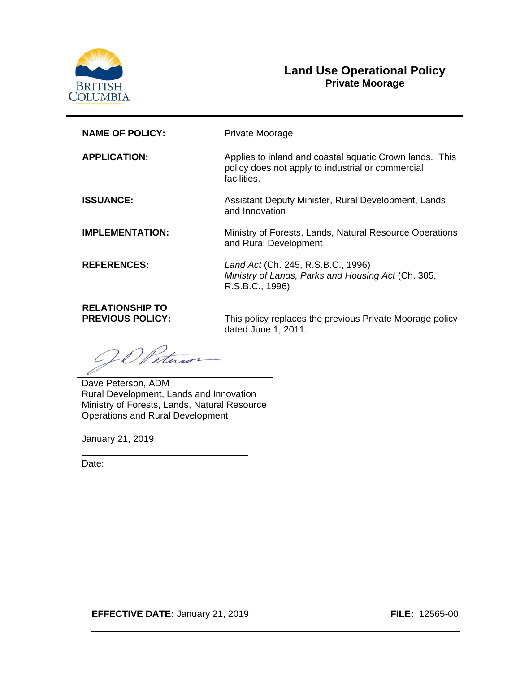

### **Land Use Operational Policy Private Moorage**

| <b>NAME OF POLICY:</b>                            | Private Moorage                                                                                                             |
|---------------------------------------------------|-----------------------------------------------------------------------------------------------------------------------------|
| <b>APPLICATION:</b>                               | Applies to inland and coastal aquatic Crown lands. This<br>policy does not apply to industrial or commercial<br>facilities. |
| <b>ISSUANCE:</b>                                  | Assistant Deputy Minister, Rural Development, Lands<br>and Innovation                                                       |
| <b>IMPLEMENTATION:</b>                            | Ministry of Forests, Lands, Natural Resource Operations<br>and Rural Development                                            |
| <b>REFERENCES:</b>                                | Land Act (Ch. 245, R.S.B.C., 1996)<br>Ministry of Lands, Parks and Housing Act (Ch. 305,<br>R.S.B.C., 1996)                 |
| <b>RELATIONSHIP TO</b><br><b>PREVIOUS POLICY:</b> | This policy replaces the previous Private Moorage policy<br>dated June 1, 2011.                                             |

JO Petu

Dave Peterson, ADM Rural Development, Lands and Innovation Ministry of Forests, Lands, Natural Resource Operations and Rural Development

\_\_\_\_\_\_\_\_\_\_\_\_\_\_\_\_\_\_\_\_\_\_\_\_\_\_\_\_\_\_\_\_

January 21, 2019

Date: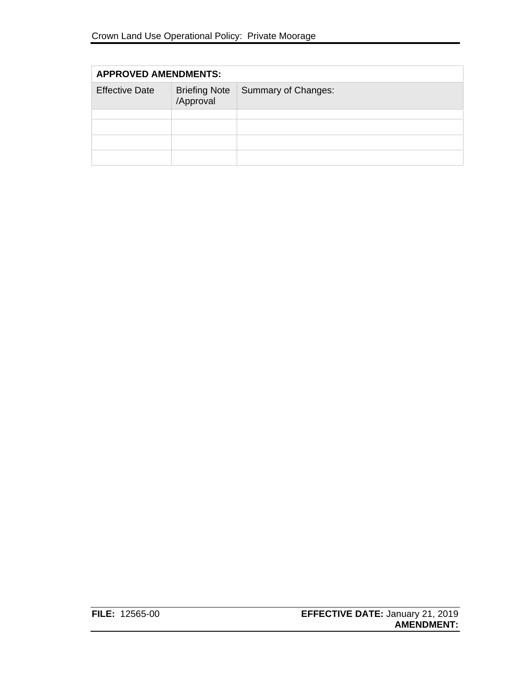| <b>APPROVED AMENDMENTS:</b> |                                   |                     |
|-----------------------------|-----------------------------------|---------------------|
| <b>Effective Date</b>       | <b>Briefing Note</b><br>/Approval | Summary of Changes: |
|                             |                                   |                     |
|                             |                                   |                     |
|                             |                                   |                     |
|                             |                                   |                     |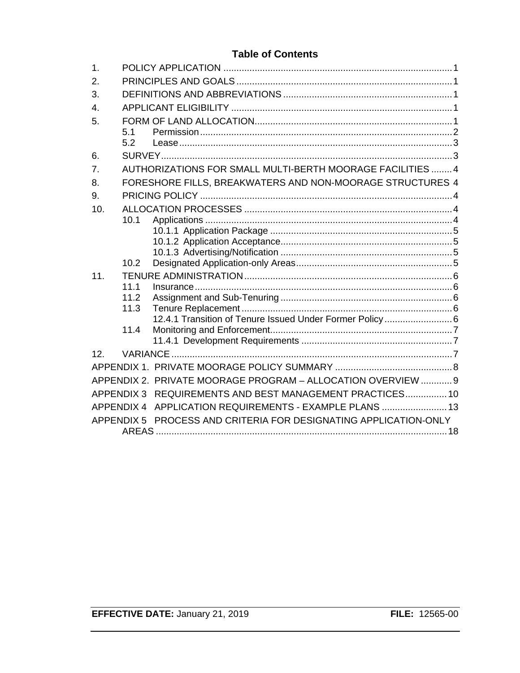### **Table of Contents**

| 1.               |      |                                                                  |  |
|------------------|------|------------------------------------------------------------------|--|
| 2.               |      |                                                                  |  |
| 3.               |      |                                                                  |  |
| $\overline{4}$ . |      |                                                                  |  |
| 5.               |      |                                                                  |  |
|                  | 5.1  |                                                                  |  |
|                  | 5.2  |                                                                  |  |
| 6.               |      |                                                                  |  |
| 7.               |      | AUTHORIZATIONS FOR SMALL MULTI-BERTH MOORAGE FACILITIES  4       |  |
| 8.               |      | FORESHORE FILLS, BREAKWATERS AND NON-MOORAGE STRUCTURES 4        |  |
| 9.               |      |                                                                  |  |
| 10.              |      |                                                                  |  |
|                  | 10.1 |                                                                  |  |
|                  |      |                                                                  |  |
|                  |      |                                                                  |  |
|                  |      |                                                                  |  |
|                  | 10.2 |                                                                  |  |
| 11.              |      |                                                                  |  |
|                  | 11.1 |                                                                  |  |
|                  | 11.2 |                                                                  |  |
|                  | 11.3 | 12.4.1 Transition of Tenure Issued Under Former Policy 6         |  |
|                  | 11.4 |                                                                  |  |
|                  |      |                                                                  |  |
| 12.              |      |                                                                  |  |
|                  |      |                                                                  |  |
|                  |      | APPENDIX 2. PRIVATE MOORAGE PROGRAM - ALLOCATION OVERVIEW  9     |  |
|                  |      |                                                                  |  |
|                  |      | APPENDIX 3 REQUIREMENTS AND BEST MANAGEMENT PRACTICES 10         |  |
|                  |      | APPENDIX 4 APPLICATION REQUIREMENTS - EXAMPLE PLANS  13          |  |
|                  |      | APPENDIX 5 PROCESS AND CRITERIA FOR DESIGNATING APPLICATION-ONLY |  |
|                  |      |                                                                  |  |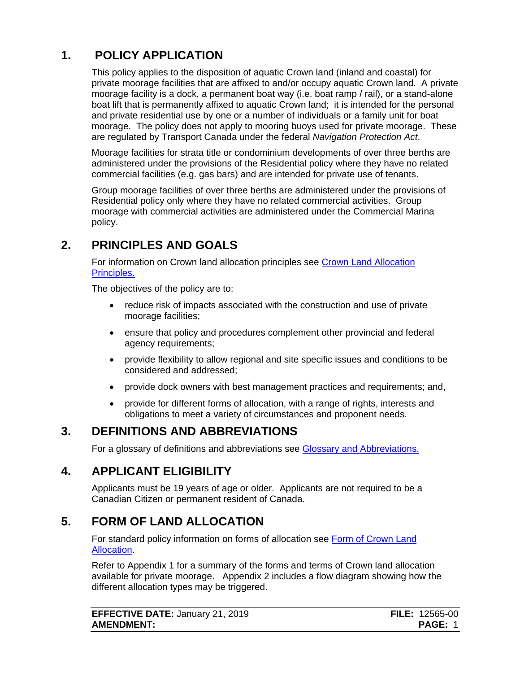# **1. POLICY APPLICATION**

<span id="page-3-0"></span>This policy applies to the disposition of aquatic Crown land (inland and coastal) for private moorage facilities that are affixed to and/or occupy aquatic Crown land. A private moorage facility is a dock, a permanent boat way (i.e. boat ramp / rail), or a stand-alone boat lift that is permanently affixed to aquatic Crown land; it is intended for the personal and private residential use by one or a number of individuals or a family unit for boat moorage. The policy does not apply to mooring buoys used for private moorage. These are regulated by Transport Canada under the federal *Navigation Protection Act*.

Moorage facilities for strata title or condominium developments of over three berths are administered under the provisions of the Residential policy where they have no related commercial facilities (e.g. gas bars) and are intended for private use of tenants.

Group moorage facilities of over three berths are administered under the provisions of Residential policy only where they have no related commercial activities. Group moorage with commercial activities are administered under the Commercial Marina policy.

## **2. PRINCIPLES AND GOALS**

<span id="page-3-1"></span>For information on Crown land allocation principles see [Crown Land Allocation](https://www2.gov.bc.ca/assets/gov/farming-natural-resources-and-industry/natural-resource-use/land-water-use/crown-land/allocation_principles.pdf)  [Principles.](https://www2.gov.bc.ca/assets/gov/farming-natural-resources-and-industry/natural-resource-use/land-water-use/crown-land/allocation_principles.pdf)

The objectives of the policy are to:

- reduce risk of impacts associated with the construction and use of private moorage facilities;
- ensure that policy and procedures complement other provincial and federal agency requirements;
- provide flexibility to allow regional and site specific issues and conditions to be considered and addressed;
- provide dock owners with best management practices and requirements; and,
- provide for different forms of allocation, with a range of rights, interests and obligations to meet a variety of circumstances and proponent needs.

## **3. DEFINITIONS AND ABBREVIATIONS**

<span id="page-3-2"></span>For a glossary of definitions and abbreviations see [Glossary and Abbreviations.](https://www2.gov.bc.ca/assets/gov/farming-natural-resources-and-industry/natural-resource-use/land-water-use/crown-land/glossary_and_abbreviations.pdf)

## **4. APPLICANT ELIGIBILITY**

<span id="page-3-3"></span>Applicants must be 19 years of age or older. Applicants are not required to be a Canadian Citizen or permanent resident of Canada.

# **5. FORM OF LAND ALLOCATION**

<span id="page-3-4"></span>For standard policy information on forms of allocation see [Form of Crown Land](http://www2.gov.bc.ca/assets/gov/farming-natural-resources-and-industry/natural-resource-use/land-water-use/crown-land/form_of_allocation.pdf)  [Allocation.](http://www2.gov.bc.ca/assets/gov/farming-natural-resources-and-industry/natural-resource-use/land-water-use/crown-land/form_of_allocation.pdf)

Refer to Appendix 1 for a summary of the forms and terms of Crown land allocation available for private moorage. Appendix 2 includes a flow diagram showing how the different allocation types may be triggered.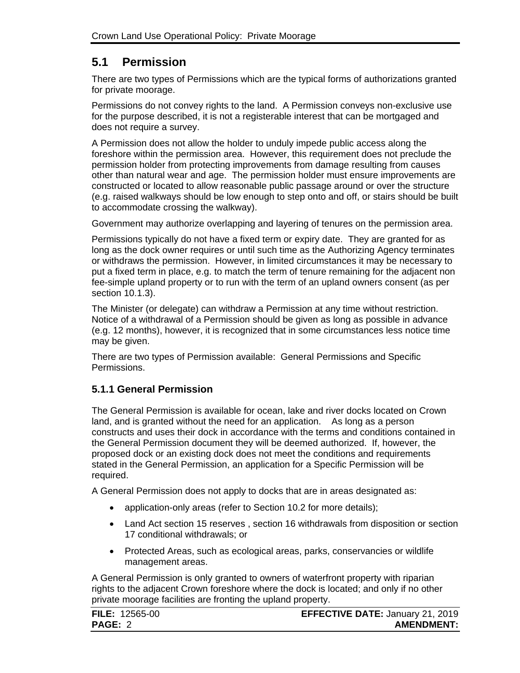## <span id="page-4-0"></span>**5.1 Permission**

There are two types of Permissions which are the typical forms of authorizations granted for private moorage.

Permissions do not convey rights to the land. A Permission conveys non-exclusive use for the purpose described, it is not a registerable interest that can be mortgaged and does not require a survey.

A Permission does not allow the holder to unduly impede public access along the foreshore within the permission area. However, this requirement does not preclude the permission holder from protecting improvements from damage resulting from causes other than natural wear and age. The permission holder must ensure improvements are constructed or located to allow reasonable public passage around or over the structure (e.g. raised walkways should be low enough to step onto and off, or stairs should be built to accommodate crossing the walkway).

Government may authorize overlapping and layering of tenures on the permission area.

Permissions typically do not have a fixed term or expiry date. They are granted for as long as the dock owner requires or until such time as the Authorizing Agency terminates or withdraws the permission.However, in limited circumstances it may be necessary to put a fixed term in place, e.g. to match the term of tenure remaining for the adjacent non fee-simple upland property or to run with the term of an upland owners consent (as per section 10.1.3).

The Minister (or delegate) can withdraw a Permission at any time without restriction. Notice of a withdrawal of a Permission should be given as long as possible in advance (e.g. 12 months), however, it is recognized that in some circumstances less notice time may be given.

There are two types of Permission available: General Permissions and Specific Permissions.

### **5.1.1 General Permission**

The General Permission is available for ocean, lake and river docks located on Crown land, and is granted without the need for an application. As long as a person constructs and uses their dock in accordance with the terms and conditions contained in the General Permission document they will be deemed authorized. If, however, the proposed dock or an existing dock does not meet the conditions and requirements stated in the General Permission, an application for a Specific Permission will be required.

A General Permission does not apply to docks that are in areas designated as:

- application-only areas (refer to Section 10.2 for more details);
- Land Act section 15 reserves , section 16 withdrawals from disposition or section 17 conditional withdrawals; or
- Protected Areas, such as ecological areas, parks, conservancies or wildlife management areas.

A General Permission is only granted to owners of waterfront property with riparian rights to the adjacent Crown foreshore where the dock is located; and only if no other private moorage facilities are fronting the upland property.

| <b>FILE: 12565-00</b> | <b>EFFECTIVE DATE: January 21, 2019</b> |
|-----------------------|-----------------------------------------|
| <b>PAGE: 2</b>        | <b>AMENDMENT:</b>                       |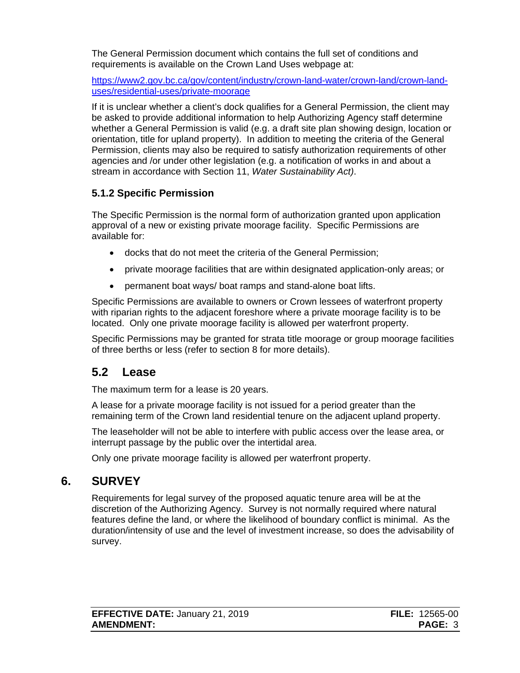The General Permission document which contains the full set of conditions and requirements is available on the Crown Land Uses webpage at:

[https://www2.gov.bc.ca/gov/content/industry/crown-land-water/crown-land/crown-land](https://www2.gov.bc.ca/gov/content?id=D4E02206691145208CD6DAE7B658CF2B)[uses/residential-uses/private-moorage](https://www2.gov.bc.ca/gov/content?id=D4E02206691145208CD6DAE7B658CF2B)

If it is unclear whether a client's dock qualifies for a General Permission, the client may be asked to provide additional information to help Authorizing Agency staff determine whether a General Permission is valid (e.g. a draft site plan showing design, location or orientation, title for upland property). In addition to meeting the criteria of the General Permission, clients may also be required to satisfy authorization requirements of other agencies and /or under other legislation (e.g. a notification of works in and about a stream in accordance with Section 11, *Water Sustainability Act)*.

### **5.1.2 Specific Permission**

The Specific Permission is the normal form of authorization granted upon application approval of a new or existing private moorage facility. Specific Permissions are available for:

- docks that do not meet the criteria of the General Permission;
- private moorage facilities that are within designated application-only areas; or
- permanent boat ways/ boat ramps and stand-alone boat lifts.

Specific Permissions are available to owners or Crown lessees of waterfront property with riparian rights to the adjacent foreshore where a private moorage facility is to be located. Only one private moorage facility is allowed per waterfront property.

Specific Permissions may be granted for strata title moorage or group moorage facilities of three berths or less (refer to section 8 for more details).

## <span id="page-5-0"></span>**5.2 Lease**

The maximum term for a lease is 20 years.

A lease for a private moorage facility is not issued for a period greater than the remaining term of the Crown land residential tenure on the adjacent upland property.

The leaseholder will not be able to interfere with public access over the lease area, or interrupt passage by the public over the intertidal area.

Only one private moorage facility is allowed per waterfront property.

# **6. SURVEY**

<span id="page-5-1"></span>Requirements for legal survey of the proposed aquatic tenure area will be at the discretion of the Authorizing Agency. Survey is not normally required where natural features define the land, or where the likelihood of boundary conflict is minimal. As the duration/intensity of use and the level of investment increase, so does the advisability of survey.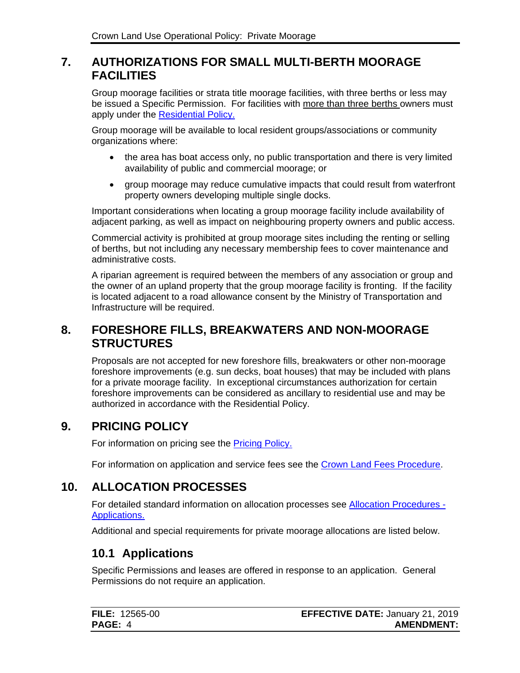## <span id="page-6-0"></span>**7. AUTHORIZATIONS FOR SMALL MULTI-BERTH MOORAGE FACILITIES**

Group moorage facilities or strata title moorage facilities, with three berths or less may be issued a Specific Permission. For facilities with more than three berths owners must apply under the [Residential Policy.](https://www2.gov.bc.ca/assets/gov/farming-natural-resources-and-industry/natural-resource-use/land-water-use/crown-land/residential.pdf)

Group moorage will be available to local resident groups/associations or community organizations where:

- the area has boat access only, no public transportation and there is very limited availability of public and commercial moorage; or
- group moorage may reduce cumulative impacts that could result from waterfront property owners developing multiple single docks.

Important considerations when locating a group moorage facility include availability of adjacent parking, as well as impact on neighbouring property owners and public access.

Commercial activity is prohibited at group moorage sites including the renting or selling of berths, but not including any necessary membership fees to cover maintenance and administrative costs.

A riparian agreement is required between the members of any association or group and the owner of an upland property that the group moorage facility is fronting. If the facility is located adjacent to a road allowance consent by the Ministry of Transportation and Infrastructure will be required.

## <span id="page-6-1"></span>**8. FORESHORE FILLS, BREAKWATERS AND NON-MOORAGE STRUCTURES**

Proposals are not accepted for new foreshore fills, breakwaters or other non-moorage foreshore improvements (e.g. sun decks, boat houses) that may be included with plans for a private moorage facility. In exceptional circumstances authorization for certain foreshore improvements can be considered as ancillary to residential use and may be authorized in accordance with the Residential Policy.

# **9. PRICING POLICY**

<span id="page-6-2"></span>For information on pricing see the **Pricing Policy.** 

For information on application and service fees see the [Crown Land Fees Procedure.](https://www2.gov.bc.ca/assets/gov/farming-natural-resources-and-industry/natural-resource-use/land-water-use/crown-land/fees.pdf)

# **10. ALLOCATION PROCESSES**

<span id="page-6-3"></span>For detailed standard information on allocation processes see [Allocation Procedures -](https://www2.gov.bc.ca/assets/gov/farming-natural-resources-and-industry/natural-resource-use/land-water-use/crown-land/ap_applications.pdf) [Applications.](https://www2.gov.bc.ca/assets/gov/farming-natural-resources-and-industry/natural-resource-use/land-water-use/crown-land/ap_applications.pdf)

Additional and special requirements for private moorage allocations are listed below.

# <span id="page-6-4"></span>**10.1 Applications**

Specific Permissions and leases are offered in response to an application. General Permissions do not require an application.

| <b>FILE: 12565-00</b> | <b>EFFECTIVE DATE: January 21, 2019</b> |
|-----------------------|-----------------------------------------|
| <b>PAGE: 4</b>        | <b>AMENDMENT:</b>                       |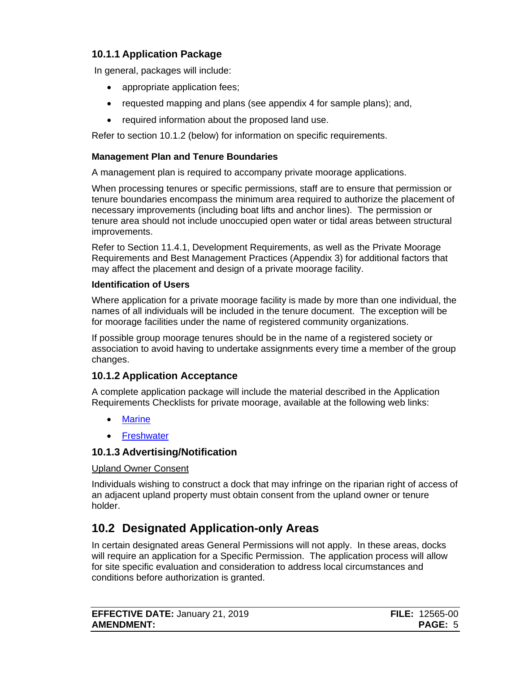### <span id="page-7-0"></span>**10.1.1 Application Package**

In general, packages will include:

- appropriate application fees;
- requested mapping and plans (see appendix 4 for sample plans); and,
- required information about the proposed land use.

Refer to section 10.1.2 (below) for information on specific requirements.

### **Management Plan and Tenure Boundaries**

A management plan is required to accompany private moorage applications.

When processing tenures or specific permissions, staff are to ensure that permission or tenure boundaries encompass the minimum area required to authorize the placement of necessary improvements (including boat lifts and anchor lines). The permission or tenure area should not include unoccupied open water or tidal areas between structural improvements.

Refer to Section 11.4.1, Development Requirements, as well as the Private Moorage Requirements and Best Management Practices (Appendix 3) for additional factors that may affect the placement and design of a private moorage facility.

### **Identification of Users**

Where application for a private moorage facility is made by more than one individual, the names of all individuals will be included in the tenure document. The exception will be for moorage facilities under the name of registered community organizations.

If possible group moorage tenures should be in the name of a registered society or association to avoid having to undertake assignments every time a member of the group changes.

### <span id="page-7-1"></span>**10.1.2 Application Acceptance**

A complete application package will include the material described in the Application Requirements Checklists for private moorage, available at the following web links:

- [Marine](http://www2.gov.bc.ca/assets/gov/farming-natural-resources-and-industry/natural-resource-use/land-water-use/crown-land/checklist_marine.pdf)
- [Freshwater](http://www2.gov.bc.ca/assets/gov/farming-natural-resources-and-industry/natural-resource-use/land-water-use/crown-land/checklist_freshwater.pdf)

### <span id="page-7-2"></span>**10.1.3 Advertising/Notification**

### Upland Owner Consent

Individuals wishing to construct a dock that may infringe on the riparian right of access of an adjacent upland property must obtain consent from the upland owner or tenure holder.

# <span id="page-7-3"></span>**10.2 Designated Application-only Areas**

In certain designated areas General Permissions will not apply. In these areas, docks will require an application for a Specific Permission. The application process will allow for site specific evaluation and consideration to address local circumstances and conditions before authorization is granted.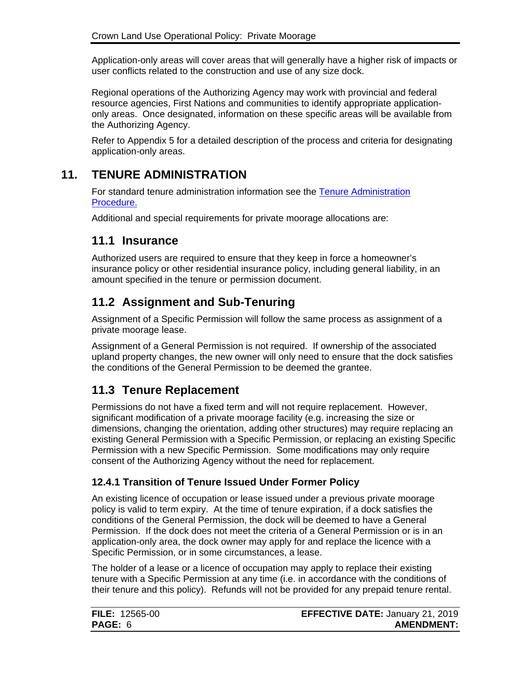Application-only areas will cover areas that will generally have a higher risk of impacts or user conflicts related to the construction and use of any size dock.

Regional operations of the Authorizing Agency may work with provincial and federal resource agencies, First Nations and communities to identify appropriate applicationonly areas. Once designated, information on these specific areas will be available from the Authorizing Agency.

Refer to Appendix 5 for a detailed description of the process and criteria for designating application-only areas.

# **11. TENURE ADMINISTRATION**

<span id="page-8-0"></span>For standard tenure administration information see the [Tenure Administration](https://www2.gov.bc.ca/assets/gov/farming-natural-resources-and-industry/natural-resource-use/land-water-use/crown-land/ta_general.pdf)  [Procedure.](https://www2.gov.bc.ca/assets/gov/farming-natural-resources-and-industry/natural-resource-use/land-water-use/crown-land/ta_general.pdf)

Additional and special requirements for private moorage allocations are:

### <span id="page-8-1"></span>**11.1 Insurance**

Authorized users are required to ensure that they keep in force a homeowner's insurance policy or other residential insurance policy, including general liability, in an amount specified in the tenure or permission document.

## <span id="page-8-2"></span>**11.2 Assignment and Sub-Tenuring**

Assignment of a Specific Permission will follow the same process as assignment of a private moorage lease.

Assignment of a General Permission is not required. If ownership of the associated upland property changes, the new owner will only need to ensure that the dock satisfies the conditions of the General Permission to be deemed the grantee.

## <span id="page-8-3"></span>**11.3 Tenure Replacement**

Permissions do not have a fixed term and will not require replacement. However, significant modification of a private moorage facility (e.g. increasing the size or dimensions, changing the orientation, adding other structures) may require replacing an existing General Permission with a Specific Permission, or replacing an existing Specific Permission with a new Specific Permission. Some modifications may only require consent of the Authorizing Agency without the need for replacement.

### <span id="page-8-4"></span>**12.4.1 Transition of Tenure Issued Under Former Policy**

An existing licence of occupation or lease issued under a previous private moorage policy is valid to term expiry. At the time of tenure expiration, if a dock satisfies the conditions of the General Permission, the dock will be deemed to have a General Permission. If the dock does not meet the criteria of a General Permission or is in an application-only area, the dock owner may apply for and replace the licence with a Specific Permission, or in some circumstances, a lease.

The holder of a lease or a licence of occupation may apply to replace their existing tenure with a Specific Permission at any time (i.e. in accordance with the conditions of their tenure and this policy). Refunds will not be provided for any prepaid tenure rental.

| <b>FILE: 12565-00</b> | <b>EFFECTIVE DATE: January 21, 2019</b> |
|-----------------------|-----------------------------------------|
| <b>PAGE: 6</b>        | <b>AMENDMENT:</b>                       |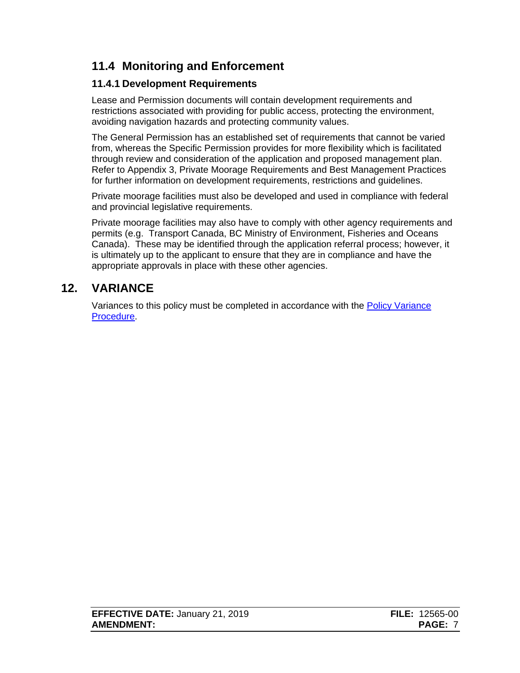# <span id="page-9-0"></span>**11.4 Monitoring and Enforcement**

### <span id="page-9-1"></span>**11.4.1 Development Requirements**

Lease and Permission documents will contain development requirements and restrictions associated with providing for public access, protecting the environment, avoiding navigation hazards and protecting community values.

The General Permission has an established set of requirements that cannot be varied from, whereas the Specific Permission provides for more flexibility which is facilitated through review and consideration of the application and proposed management plan. Refer to Appendix 3, Private Moorage Requirements and Best Management Practices for further information on development requirements, restrictions and guidelines.

Private moorage facilities must also be developed and used in compliance with federal and provincial legislative requirements.

Private moorage facilities may also have to comply with other agency requirements and permits (e.g. Transport Canada, BC Ministry of Environment, Fisheries and Oceans Canada). These may be identified through the application referral process; however, it is ultimately up to the applicant to ensure that they are in compliance and have the appropriate approvals in place with these other agencies.

# **12. VARIANCE**

<span id="page-9-2"></span>Variances to this policy must be completed in accordance with the [Policy Variance](https://www2.gov.bc.ca/assets/gov/farming-natural-resources-and-industry/natural-resource-use/land-water-use/crown-land/variance.pdf) [Procedure.](http://www.for.gov.bc.ca/Land_Tenures/documents/procedures/variance.pdf)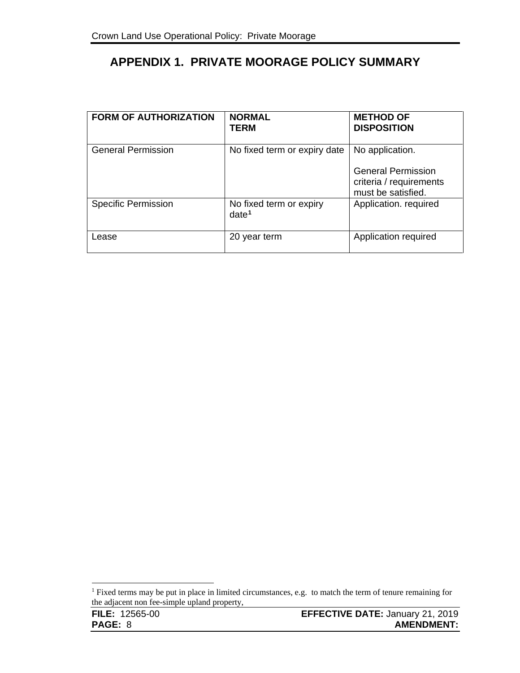# <span id="page-10-0"></span>**APPENDIX 1. PRIVATE MOORAGE POLICY SUMMARY**

| <b>FORM OF AUTHORIZATION</b> | <b>NORMAL</b><br><b>TERM</b>                 | <b>METHOD OF</b><br><b>DISPOSITION</b>                                                        |
|------------------------------|----------------------------------------------|-----------------------------------------------------------------------------------------------|
| <b>General Permission</b>    | No fixed term or expiry date                 | No application.<br><b>General Permission</b><br>criteria / requirements<br>must be satisfied. |
| <b>Specific Permission</b>   | No fixed term or expiry<br>date <sup>1</sup> | Application. required                                                                         |
| Lease                        | 20 year term                                 | Application required                                                                          |

 $\overline{a}$ 

<span id="page-10-1"></span><sup>&</sup>lt;sup>1</sup> Fixed terms may be put in place in limited circumstances, e.g. to match the term of tenure remaining for the adjacent non fee-simple upland property,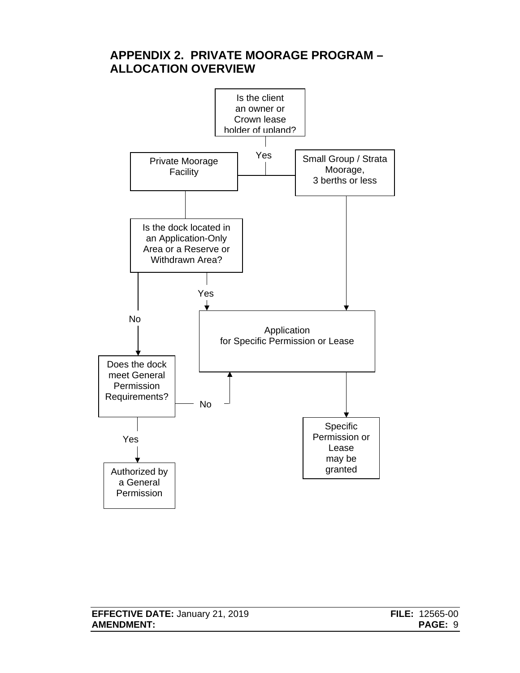# <span id="page-11-0"></span>**APPENDIX 2. PRIVATE MOORAGE PROGRAM – ALLOCATION OVERVIEW**

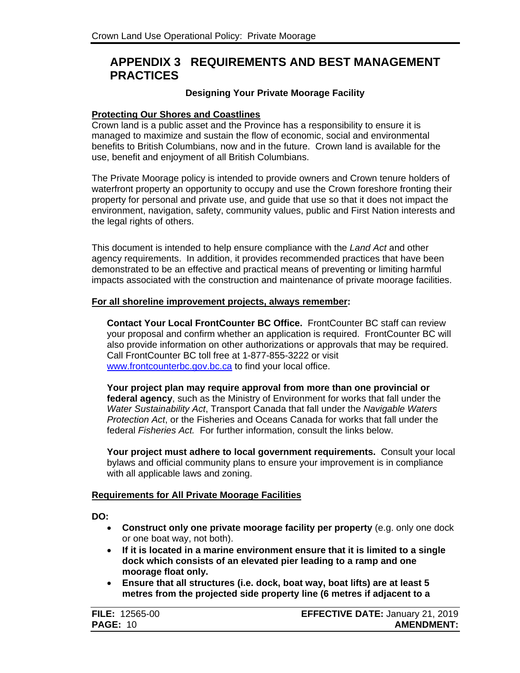## <span id="page-12-0"></span>**APPENDIX 3 REQUIREMENTS AND BEST MANAGEMENT PRACTICES**

#### **Designing Your Private Moorage Facility**

#### **Protecting Our Shores and Coastlines**

Crown land is a public asset and the Province has a responsibility to ensure it is managed to maximize and sustain the flow of economic, social and environmental benefits to British Columbians, now and in the future. Crown land is available for the use, benefit and enjoyment of all British Columbians.

The Private Moorage policy is intended to provide owners and Crown tenure holders of waterfront property an opportunity to occupy and use the Crown foreshore fronting their property for personal and private use, and guide that use so that it does not impact the environment, navigation, safety, community values, public and First Nation interests and the legal rights of others.

This document is intended to help ensure compliance with the *Land Act* and other agency requirements. In addition, it provides recommended practices that have been demonstrated to be an effective and practical means of preventing or limiting harmful impacts associated with the construction and maintenance of private moorage facilities.

#### **For all shoreline improvement projects, always remember:**

**Contact Your Local FrontCounter BC Office.** FrontCounter BC staff can review your proposal and confirm whether an application is required. FrontCounter BC will also provide information on other authorizations or approvals that may be required. Call FrontCounter BC toll free at 1-877-855-3222 or visit [www.frontcounterbc.gov.bc.ca](http://www.frontcounterbc.gov.bc.ca/) to find your local office.

**Your project plan may require approval from more than one provincial or federal agency**, such as the Ministry of Environment for works that fall under the *Water Sustainability Act*, Transport Canada that fall under the *Navigable Waters Protection Act*, or the Fisheries and Oceans Canada for works that fall under the federal *Fisheries Act.* For further information, consult the links below.

**Your project must adhere to local government requirements.** Consult your local bylaws and official community plans to ensure your improvement is in compliance with all applicable laws and zoning.

#### **Requirements for All Private Moorage Facilities**

**DO:** 

- **Construct only one private moorage facility per property** (e.g. only one dock or one boat way, not both).
- **If it is located in a marine environment ensure that it is limited to a single dock which consists of an elevated pier leading to a ramp and one moorage float only.**
- **Ensure that all structures (i.e. dock, boat way, boat lifts) are at least 5 metres from the projected side property line (6 metres if adjacent to a**

| <b>FILE: 12565-00</b> | <b>EFFECTIVE DATE: January 21, 2019</b> |
|-----------------------|-----------------------------------------|
| <b>PAGE: 10</b>       | <b>AMENDMENT:</b>                       |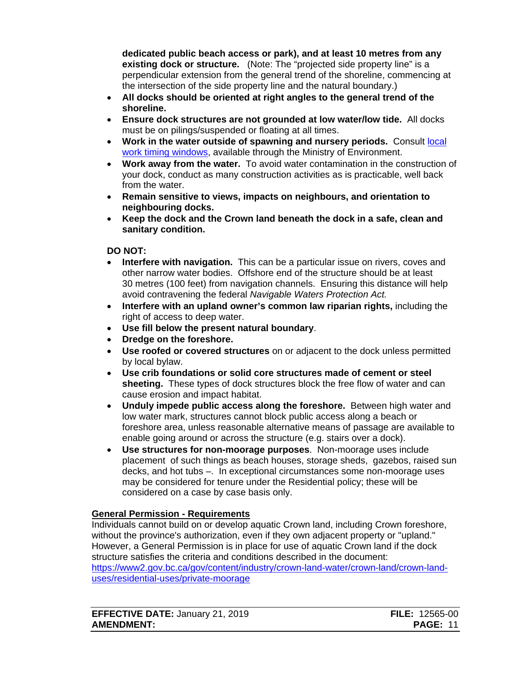**dedicated public beach access or park), and at least 10 metres from any existing dock or structure.** (Note: The "projected side property line" is a perpendicular extension from the general trend of the shoreline, commencing at the intersection of the side property line and the natural boundary.)

- **All docks should be oriented at right angles to the general trend of the shoreline.**
- **Ensure dock structures are not grounded at low water/low tide.** All docks must be on pilings/suspended or floating at all times.
- **Work in the water outside of spawning and nursery periods.** Consult [local](https://www2.gov.bc.ca/gov/content?id=9BE18CCD0EA041E69352FF8284E2A316)  [work timing windows,](https://www2.gov.bc.ca/gov/content?id=9BE18CCD0EA041E69352FF8284E2A316) available through the Ministry of Environment.
- **Work away from the water.** To avoid water contamination in the construction of your dock, conduct as many construction activities as is practicable, well back from the water.
- **Remain sensitive to views, impacts on neighbours, and orientation to neighbouring docks.**
- **Keep the dock and the Crown land beneath the dock in a safe, clean and sanitary condition.**

#### **DO NOT:**

- **Interfere with navigation.** This can be a particular issue on rivers, coves and other narrow water bodies. Offshore end of the structure should be at least 30 metres (100 feet) from navigation channels. Ensuring this distance will help avoid contravening the federal *Navigable Waters Protection Act.*
- **Interfere with an upland owner's common law riparian rights,** including the right of access to deep water.
- **Use fill below the present natural boundary**.
- **Dredge on the foreshore.**
- **Use roofed or covered structures** on or adjacent to the dock unless permitted by local bylaw.
- **Use crib foundations or solid core structures made of cement or steel sheeting.** These types of dock structures block the free flow of water and can cause erosion and impact habitat.
- **Unduly impede public access along the foreshore.** Between high water and low water mark, structures cannot block public access along a beach or foreshore area, unless reasonable alternative means of passage are available to enable going around or across the structure (e.g. stairs over a dock).
- **Use structures for non-moorage purposes**. Non-moorage uses include placement of such things as beach houses, storage sheds, gazebos, raised sun decks, and hot tubs –. In exceptional circumstances some non-moorage uses may be considered for tenure under the Residential policy; these will be considered on a case by case basis only.

#### **General Permission - Requirements**

Individuals cannot build on or develop aquatic Crown land, including Crown foreshore, without the province's authorization, even if they own adjacent property or "upland." However, a General Permission is in place for use of aquatic Crown land if the dock structure satisfies the criteria and conditions described in the document: [https://www2.gov.bc.ca/gov/content/industry/crown-land-water/crown-land/crown-land](https://www2.gov.bc.ca/gov/content?id=D4E02206691145208CD6DAE7B658CF2B)[uses/residential-uses/private-moorage](https://www2.gov.bc.ca/gov/content?id=D4E02206691145208CD6DAE7B658CF2B)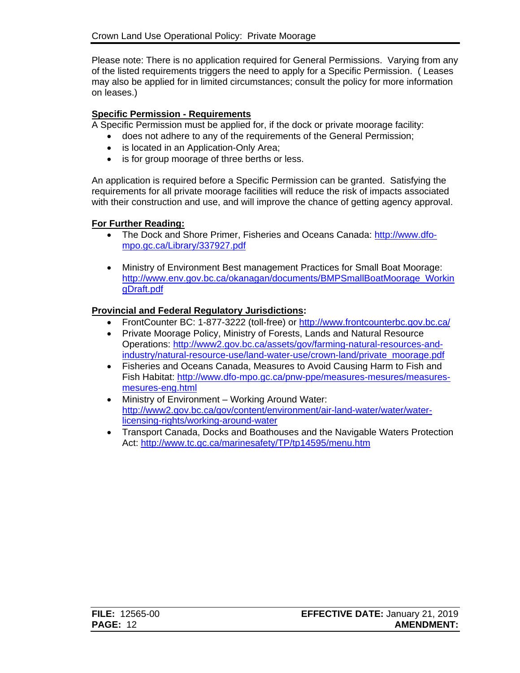Please note: There is no application required for General Permissions. Varying from any of the listed requirements triggers the need to apply for a Specific Permission. ( Leases may also be applied for in limited circumstances; consult the policy for more information on leases.)

#### **Specific Permission - Requirements**

A Specific Permission must be applied for, if the dock or private moorage facility:

- does not adhere to any of the requirements of the General Permission;
- is located in an Application-Only Area;
- is for group moorage of three berths or less.

An application is required before a Specific Permission can be granted. Satisfying the requirements for all private moorage facilities will reduce the risk of impacts associated with their construction and use, and will improve the chance of getting agency approval.

#### **For Further Reading:**

- The Dock and Shore Primer, Fisheries and Oceans Canada: [http://www.dfo](http://www.dfo-mpo.gc.ca/Library/337927.pdf)[mpo.gc.ca/Library/337927.pdf](http://www.dfo-mpo.gc.ca/Library/337927.pdf)
- Ministry of Environment Best management Practices for Small Boat Moorage: [http://www.env.gov.bc.ca/okanagan/documents/BMPSmallBoatMoorage\\_Workin](http://www.env.gov.bc.ca/okanagan/documents/BMPSmallBoatMoorage_WorkingDraft.pdf) [gDraft.pdf](http://www.env.gov.bc.ca/okanagan/documents/BMPSmallBoatMoorage_WorkingDraft.pdf)

#### **Provincial and Federal Regulatory Jurisdictions:**

- FrontCounter BC: 1-877-3222 (toll-free) or<http://www.frontcounterbc.gov.bc.ca/>
- Private Moorage Policy, Ministry of Forests, Lands and Natural Resource Operations: [http://www2.gov.bc.ca/assets/gov/farming-natural-resources-and](http://www2.gov.bc.ca/assets/gov/farming-natural-resources-and-industry/natural-resource-use/land-water-use/crown-land/private_moorage.pdf)[industry/natural-resource-use/land-water-use/crown-land/private\\_moorage.pdf](http://www2.gov.bc.ca/assets/gov/farming-natural-resources-and-industry/natural-resource-use/land-water-use/crown-land/private_moorage.pdf)
- Fisheries and Oceans Canada, Measures to Avoid Causing Harm to Fish and Fish Habitat: [http://www.dfo-mpo.gc.ca/pnw-ppe/measures-mesures/measures](http://www.dfo-mpo.gc.ca/pnw-ppe/measures-mesures/measures-mesures-eng.html)[mesures-eng.html](http://www.dfo-mpo.gc.ca/pnw-ppe/measures-mesures/measures-mesures-eng.html)
- Ministry of Environment Working Around Water: [http://www2.gov.bc.ca/gov/content/environment/air-land-water/water/water](http://www2.gov.bc.ca/gov/content/environment/air-land-water/water/water-licensing-rights/working-around-water)[licensing-rights/working-around-water](http://www2.gov.bc.ca/gov/content/environment/air-land-water/water/water-licensing-rights/working-around-water)
- Transport Canada, Docks and Boathouses and the Navigable Waters Protection Act:<http://www.tc.gc.ca/marinesafety/TP/tp14595/menu.htm>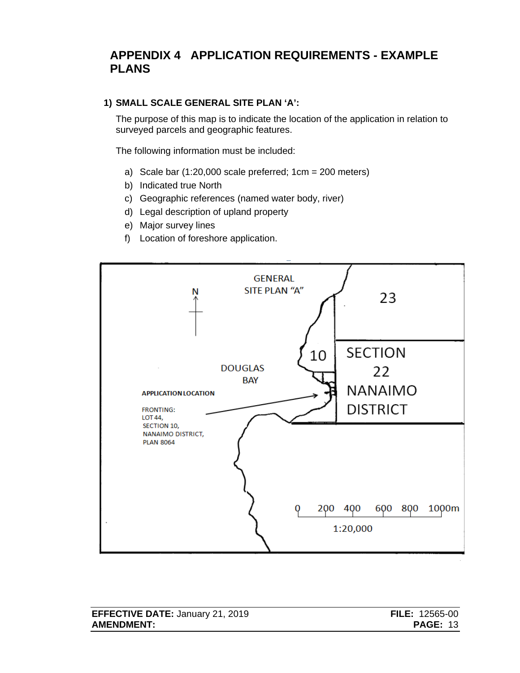## <span id="page-15-0"></span>**APPENDIX 4 APPLICATION REQUIREMENTS - EXAMPLE PLANS**

#### **1) SMALL SCALE GENERAL SITE PLAN 'A':**

The purpose of this map is to indicate the location of the application in relation to surveyed parcels and geographic features.

The following information must be included:

- a) Scale bar  $(1:20,000$  scale preferred;  $1 \text{cm} = 200$  meters)
- b) Indicated true North
- c) Geographic references (named water body, river)
- d) Legal description of upland property
- e) Major survey lines
- f) Location of foreshore application.



| <b>EFFECTIVE DATE: January 21, 2019</b> | <b>FILE: 12565-00</b> |
|-----------------------------------------|-----------------------|
| <b>AMENDMENT:</b>                       | <b>PAGE: 13</b>       |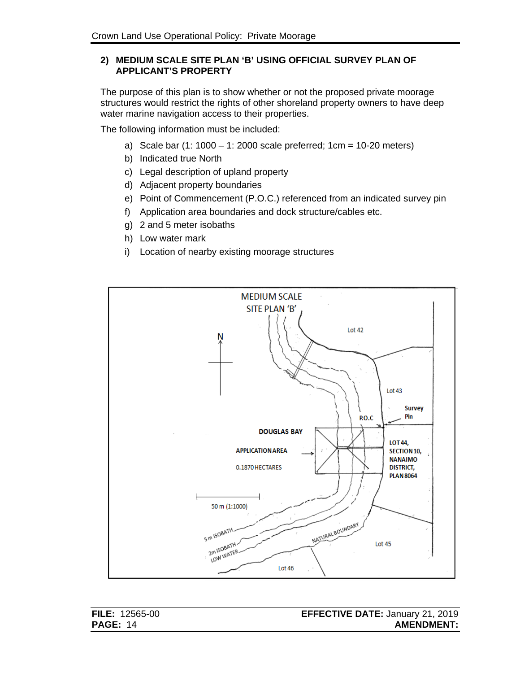#### **2) MEDIUM SCALE SITE PLAN 'B' USING OFFICIAL SURVEY PLAN OF APPLICANT'S PROPERTY**

The purpose of this plan is to show whether or not the proposed private moorage structures would restrict the rights of other shoreland property owners to have deep water marine navigation access to their properties.

The following information must be included:

- a) Scale bar  $(1: 1000 1: 2000$  scale preferred;  $1cm = 10-20$  meters)
- b) Indicated true North
- c) Legal description of upland property
- d) Adjacent property boundaries
- e) Point of Commencement (P.O.C.) referenced from an indicated survey pin
- f) Application area boundaries and dock structure/cables etc.
- g) 2 and 5 meter isobaths
- h) Low water mark
- i) Location of nearby existing moorage structures

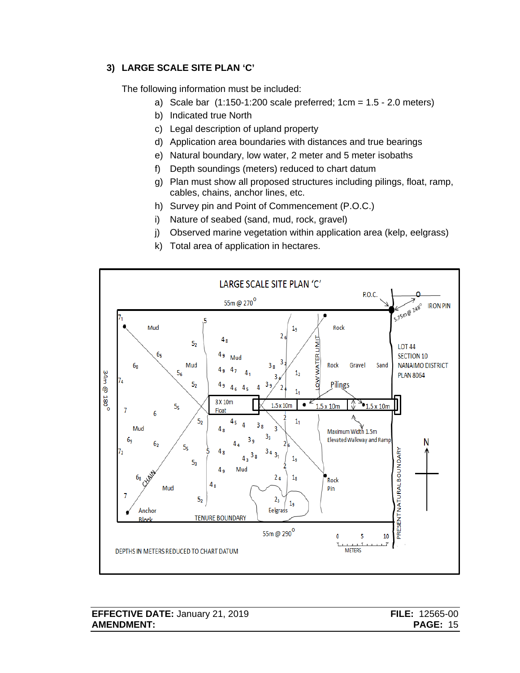### **3) LARGE SCALE SITE PLAN 'C'**

The following information must be included:

- a) Scale bar (1:150-1:200 scale preferred; 1cm = 1.5 2.0 meters)
- b) Indicated true North
- c) Legal description of upland property
- d) Application area boundaries with distances and true bearings
- e) Natural boundary, low water, 2 meter and 5 meter isobaths
- f) Depth soundings (meters) reduced to chart datum
- g) Plan must show all proposed structures including pilings, float, ramp, cables, chains, anchor lines, etc.
- h) Survey pin and Point of Commencement (P.O.C.)
- i) Nature of seabed (sand, mud, rock, gravel)
- j) Observed marine vegetation within application area (kelp, eelgrass)
- k) Total area of application in hectares.

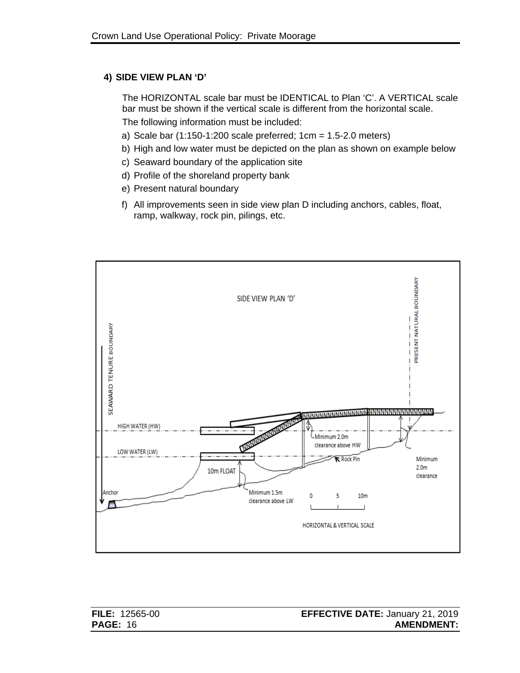#### **4) SIDE VIEW PLAN 'D'**

The HORIZONTAL scale bar must be IDENTICAL to Plan 'C'. A VERTICAL scale bar must be shown if the vertical scale is different from the horizontal scale. The following information must be included:

- a) Scale bar (1:150-1:200 scale preferred; 1cm = 1.5-2.0 meters)
- b) High and low water must be depicted on the plan as shown on example below
- c) Seaward boundary of the application site
- d) Profile of the shoreland property bank
- e) Present natural boundary
- f) All improvements seen in side view plan D including anchors, cables, float, ramp, walkway, rock pin, pilings, etc.

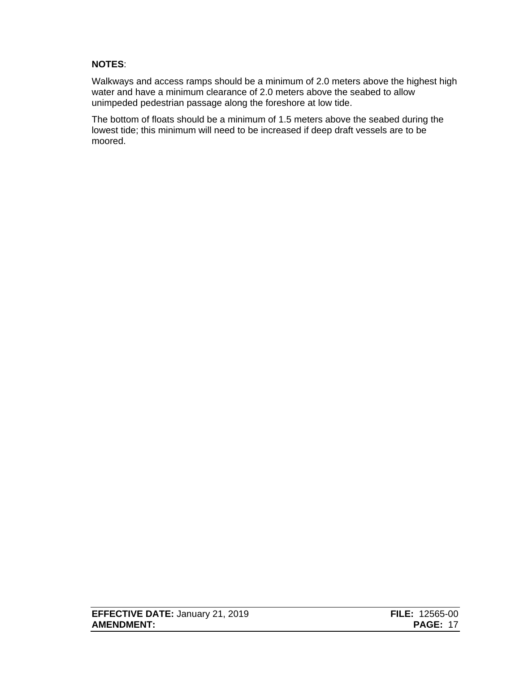#### **NOTES**:

Walkways and access ramps should be a minimum of 2.0 meters above the highest high water and have a minimum clearance of 2.0 meters above the seabed to allow unimpeded pedestrian passage along the foreshore at low tide.

The bottom of floats should be a minimum of 1.5 meters above the seabed during the lowest tide; this minimum will need to be increased if deep draft vessels are to be moored.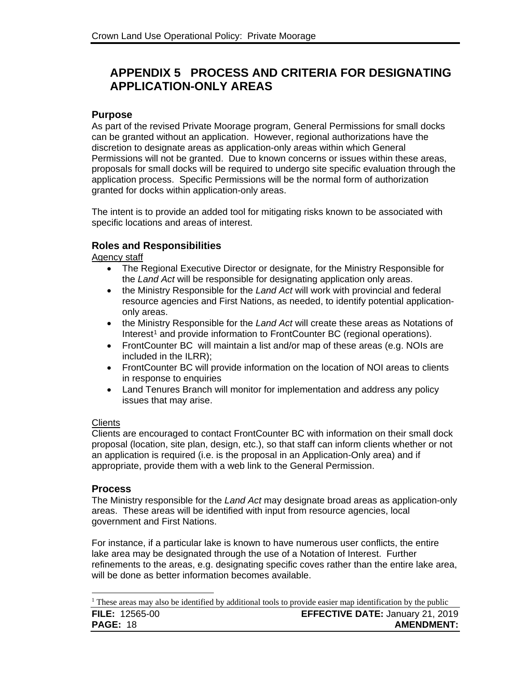# <span id="page-20-0"></span>**APPENDIX 5 PROCESS AND CRITERIA FOR DESIGNATING APPLICATION-ONLY AREAS**

#### **Purpose**

As part of the revised Private Moorage program, General Permissions for small docks can be granted without an application. However, regional authorizations have the discretion to designate areas as application-only areas within which General Permissions will not be granted. Due to known concerns or issues within these areas, proposals for small docks will be required to undergo site specific evaluation through the application process. Specific Permissions will be the normal form of authorization granted for docks within application-only areas.

The intent is to provide an added tool for mitigating risks known to be associated with specific locations and areas of interest.

#### **Roles and Responsibilities**

Agency staff

- The Regional Executive Director or designate, for the Ministry Responsible for the *Land Act* will be responsible for designating application only areas.
- the Ministry Responsible for the *Land Act* will work with provincial and federal resource agencies and First Nations, as needed, to identify potential applicationonly areas.
- the Ministry Responsible for the *Land Act* will create these areas as Notations of Interest<sup>[1](#page-20-1)</sup> and provide information to FrontCounter BC (regional operations).
- FrontCounter BC will maintain a list and/or map of these areas (e.g. NOIs are included in the ILRR);
- FrontCounter BC will provide information on the location of NOI areas to clients in response to enquiries
- Land Tenures Branch will monitor for implementation and address any policy issues that may arise.

#### **Clients**

Clients are encouraged to contact FrontCounter BC with information on their small dock proposal (location, site plan, design, etc.), so that staff can inform clients whether or not an application is required (i.e. is the proposal in an Application-Only area) and if appropriate, provide them with a web link to the General Permission.

#### **Process**

 $\ddot{\phantom{a}}$ 

The Ministry responsible for the *Land Act* may designate broad areas as application-only areas. These areas will be identified with input from resource agencies, local government and First Nations.

For instance, if a particular lake is known to have numerous user conflicts, the entire lake area may be designated through the use of a Notation of Interest. Further refinements to the areas, e.g. designating specific coves rather than the entire lake area, will be done as better information becomes available.

<span id="page-20-1"></span>**FILE:** 12565-00 **EFFECTIVE DATE:** January 21, 2019 **PAGE:** 18 **AMENDMENT: AMENDMENT: AMENDMENT:** <sup>1</sup> These areas may also be identified by additional tools to provide easier map identification by the public